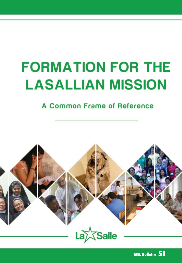## **FORMATION FOR THE LASALLIAN MISSION**

#### A Common Frame of Reference



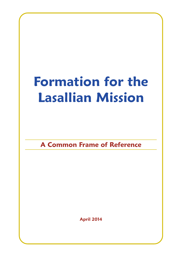## **Formation for the Lasallian Mission**

**A Common Frame of Reference**

**April 2014**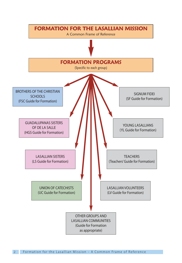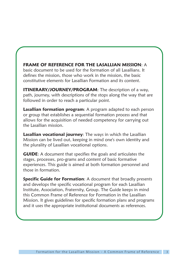#### **FRAME OF REFERENCE FOR THE LASALLIAN MISSION**: A

basic document to be used for the formation of all Lasallians. It defines the mission, those who work in the mission, the basic constitutive elements for Lasallian Formation and its content.

**ITINERARY/JOURNEY/PROGRAM:** The description of a way, path, journey, with descriptions of the stops along the way that are followed in order to reach a particular point.

**Lasallian formation program**: A program adapted to each person or group that establishes a sequential formation process and that allows for the acquisition of needed competency for carrying out the Lasallian mission.

**Lasallian vocational journey**: The ways in which the Lasallian Mission can be lived out, keeping in mind one's own identity and the plurality of Lasallian vocational options.

**GUIDE**: A document that specifies the goals and articulates the stages, processes, pro-grams and content of basic formative experiences. This guide is aimed at both formation personnel and those in formation.

**Specific Guide for Formation:** A document that broadly presents and develops the specific vocational program for each Lasallian Institute, Association, Fraternity, Group. The Guide keeps in mind this Common Frame of Reference for Formation in the Lasallian Mission. It gives guidelines for specific formation plans and programs and it uses the appropriate institutional documents as references.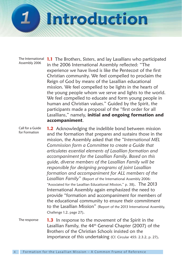

The International Assembly 2006

**1.1** The Brothers, Sisters, and lay Lasallians who participated in the 2006 International Assembly reflected: "The experience we have lived is like the Pentecost of the first Christian community. We feel compelled to proclaim the Reign of God by means of the Lasallian educational mission. We feel compelled to be lights in the hearts of the young people whom we serve and lights to the world. We feel compelled to educate and form young people in human and Christian values." Guided by the Spirit, the participants made a proposal of the "first order for all Lasallians," namely, **initial and ongoing formation and accompaniment**.

Call for a Guide for Formation

**1.2** Acknowledging the indelible bond between mission and the formation that prepares and sustains those in the mission, the Assembly asked that the *"International MEL Commission form a Committee to create a Guide that articulates essential elements of Lasallian formation and accompaniment for the Lasallian Family. Based on this guide, diverse members of the Lasallian Family will be responsible for designing programs of joint Lasallian formation and accompaniment for ALL members of the Lasallian Family"* (Report of the International Assembly 2006: "Associated for the Lasallian Educational Mission," p. 38). The 2013 International Assembly again emphasized the need to provide "formation and accompaniment for members of the educational community to ensure their commitment to the Lasallian Mission" (Report of the 2013 International Assembly, Challenge 1.2, page 27).

The response **1.3** In response to the movement of the Spirit in the Lasallian Family, the 44th General Chapter (2007) of the Brothers of the Christian Schools insisted on the importance of this undertaking (Cf. Circular 455: 2.3.2, p. 27).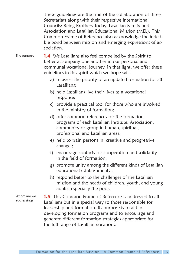These guidelines are the fruit of the collaboration of three Secretariats along with their respective International Councils: Being Brothers Today, Lasallian Family and Association and Lasallian Educational Mission (MEL). This Common Frame of Reference also acknowledge the indelible bond between mission and emerging expressions of association.

#### The purpose

**1.4** We Lasallians also feel compelled by the Spirit to better accompany one another in our personal and communal vocational journey. In that light, we offer these guidelines in this spirit which we hope will

- a) re-assert the priority of an updated formation for all Lasallians;
- b) help Lasallians live their lives as a vocational response;
- c) provide a practical tool for those who are involved in the ministry of formation;
- d) offer common references for the formation programs of each Lasallian Institute, Association, community or group in human, spiritual, professional and Lasallian areas;
- e) help to train persons in creative and progressive change ;
- f) encourage contacts for cooperation and solidarity in the field of formation;
- g) promote unity among the different kinds of Lasallian educational establishments ;
- h) respond better to the challenges of the Lasallian mission and the needs of children, youth, and young adults, especially the poor.

**1.5** This Common Frame of Reference is addressed to all Lasallians but in a special way to those responsible for leadership and formation. Its purpose is to aid in developing formation programs and to encourage and generate different formation strategies appropriate for the full range of Lasallian vocations. Whom are we addressing?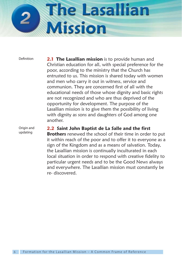# **The Lasallian Mission**

Definition

**2.1 The Lasallian mission** is to provide human and Christian education for all, with special preference for the poor, according to the ministry that the Church has entrusted to us. This mission is shared today with women and men who carry it out in witness, service and communion. They are concerned first of all with the educational needs of those whose dignity and basic rights are not recognized and who are thus deprived of the opportunity for development. The purpose of the Lasallian mission is to give them the possibility of living with dignity as sons and daughters of God among one another.

Origin and updating

#### **2.2 Saint John Baptist de La Salle and the first**

**Brothers** renewed the school of their time in order to put it within reach of the poor and to offer it to everyone as a sign of the Kingdom and as a means of salvation. Today, the Lasallian mission is continually inculturated in each local situation in order to respond with creative fidelity to particular urgent needs and to be the Good News always and everywhere. The Lasallian mission must constantly be re- discovered.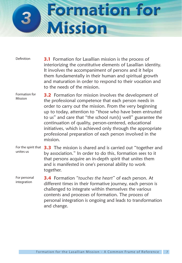

**3.1** Formation for Lasallian mission is the process of interiorizing the constitutive elements of Lasallian identity. It involves the accompaniment of persons and it helps them fundamentally in their human and spiritual growth and maturation in order to respond to their vocation and to the needs of the mission. Definition

**3.2** Formation for mission involves the development of the professional competence that each person needs in order to carry out the mission. From the very beginning up to today, attention to "those who have been entrusted to us" and care that "the school run(s) well" guarantee the continuation of quality, person-centered, educational initiatives, which is achieved only through the appropriate professional preparation of each person involved in the  $microo<sub>n</sub>$ Formation for Mission

For the spirit that **3.3** The mission is shared and is carried out "together and by association." In order to do this, formation sees to it that persons acquire an in-depth spirit that unites them and is manifested in one's personal ability to work together. unites us

**3.4** Formation *"touches the heart"* of each person. At different times in their formative journey, each person is challenged to integrate within themselves the various contents and processes of formation. The process of personal integration is ongoing and leads to transformation and change. For personal integration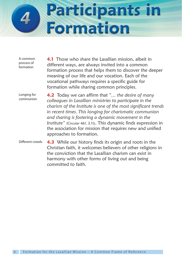

A common process of formation

**4.1** Those who share the Lasallian mission, albeit in different ways, are always invited into a common formation process that helps them to discover the deeper meaning of our life and our vocation. Each of the vocational pathways requires a specific guide for formation while sharing common principles.

Longing for communion **4.2** Today we can affirm that *"… the desire of many colleagues in Lasallian ministries to participate in the charism of the Institute is one of the most significant trends in recent times. This longing for charismatic communion and sharing is fostering a dynamic movement in the Institute"* (Circular 461, 3.11). This dynamic finds expression in the association for mission that requires new and unified approaches to formation.

**4.3** While our history finds its origin and roots in the Christian faith, it welcomes believers of other religions in the conviction that the Lasallian charism can exist in harmony with other forms of living out and being committed to faith. Different creeds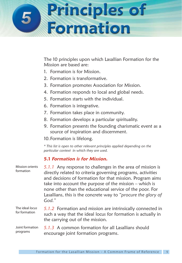# **Principles of<br>Formation**

The 10 principles upon which Lasallian Formation for the Mission are based are:

- 1. Formation is for Mission.
- 2. Formation is transformative.
- 3. Formation promotes Association for Mission.
- 4. Formation responds to local and global needs.
- 5. Formation starts with the individual.
- 6. Formation is integrative.
- 7. Formation takes place in community.
- 8. Formation develops a particular spirituality.
- 9. Formation presents the founding charismatic event as a source of inspiration and discernment.

10.Formation is lifelong.

*\* This list is open to other relevant principles applied depending on the particular context in which they are used.*

#### **5.1 Formation is for Mission.**

| <b>Mission orients</b><br>formation | 5.1.1 Any response to challenges in the area of mission is<br>directly related to criteria governing programs, activities<br>and decisions of formation for that mission. Program aims<br>take into account the purpose of the mission $-$ which is<br>none other than the educational service of the poor. For<br>Lasallians, this is the concrete way to "procure the glory of<br>God." |
|-------------------------------------|-------------------------------------------------------------------------------------------------------------------------------------------------------------------------------------------------------------------------------------------------------------------------------------------------------------------------------------------------------------------------------------------|
| The ideal locus<br>for formation    | 5.1.2 Formation and mission are intrinsically connected in<br>such a way that the ideal locus for formation is actually in<br>the carrying out of the mission.                                                                                                                                                                                                                            |
| Joint formation<br>programs         | 5.1.3 A common formation for all Lasallians should<br>encourage joint formation programs.                                                                                                                                                                                                                                                                                                 |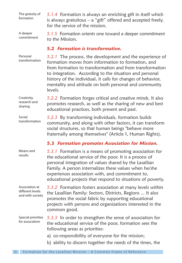The gratuity of formation

*5.1.4* Formation is always an enriching gift in itself which is always gratuitous – a "gift" offered and accepted freely, for the service of the mission.

A deeper commitment

*5.1.5* Formation orients one toward a deeper commitment to the Mission.

#### **5.2 Formation is transformative.**

*5.2.1* The process, the development and the experience of formation moves from information to formation, and from formation to transformation and from transformation to integration. According to the situation and personal history of the individual, it calls for changes of behavior, mentality and attitude on both personal and community levels. Personal transformation

*5.2.2* Formation forges critical and creative minds. It also promotes research, as well as the sharing of new and best educational practices, both present and past. Creativity, research and sharing

*5.2.3* By transforming individuals, formation builds community, and along with other factors, it can transform social structures, so that human beings "behave more fraternally among themselves" (Article 1, Human Rights). Social transformation

#### **5.3 Formation promotes Association for Mission.**

*5.3.1* Formation is a means of promoting association for the educational service of the poor. It is a process of personal integration of values shared by the Lasallian Family. A person internalizes these values when he/she experiences association with, and commitment to, educational projects that respond to situations of poverty. Means and results

Association at different levels and with society

*5.3.2* Formation fosters association at many levels within the Lasallian Family: Sectors, Districts, Regions ... It also promotes the social fabric by supporting educational projects with persons and organizations interested in the common good.

Special priorities for association

*5.3.3* In order to strengthen the sense of association for the educational service of the poor, formation sees the following areas as priorities:

- a) co-responsibility of everyone for the mission;
- b) ability to discern together the needs of the times, the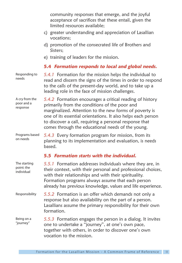community responses that emerge, and the joyful acceptance of sacrifices that these entail, given the limited resources available;

- c) greater understanding and appreciation of Lasallian vocations;
- d) promotion of the consecrated life of Brothers and Sisters;
- e) training of leaders for the mission.

#### **5.4 Formation responds to local and global needs.**

*5.4.1* Formation for the mission helps the individual to read and discern the signs of the times in order to respond to the calls of the present-day world, and to take up a leading role in the face of mission challenges. Responding to needs

*5.4.2* Formation encourages a critical reading of history primarily from the conditions of the poor and marginalized. Attention to the new forms of poverty is one of its essential orientations. It also helps each person to discover a call, requiring a personal response that comes through the educational needs of the young. A cry from the poor and a response

*5.4.3* Every formation program for mission, from its planning to its implementation and evaluation, is needs based. Programs based on needs

#### **5.5 Formation starts with the individual.**

*5.5.1* Formation addresses individuals where they are, in their context, with their personal and professional choices, with their relationships and with their spirituality. Formation programs always assume that each person already has previous knowledge, values and life experience. *5.5.2* Formation is an offer which demands not only a response but also availability on the part of a person. Lasallians assume the primary responsibility for their own formation. *5.5.3* Formation engages the person in a dialog. It invites one to undertake a "journey", at one's own pace, together with others, in order to discover one's own vocation to the mission. The starting point: the individual Responsibility Being on a "journey"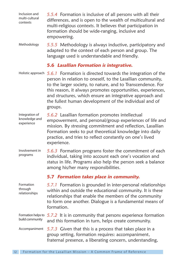*5.5.4* Formation is inclusive of all persons with all their differences, and is open to the wealth of multicultural and multi-religious contexts. It believes that participation in formation should be wide-ranging, inclusive and empowering. Inclusion and multi-cultural contexts

*5.5.5* Methodology is always inductive, participatory and adapted to the context of each person and group. The language used is understandable and friendly. Methodology

#### **5.6 Lasallian Formation is integrative.**

Holistic approach 5.6.1 Formation is directed towards the integration of the person in relation to oneself, to the Lasallian community, to the larger society, to nature, and to Transcendence. For this reason, it always promotes opportunities, experiences, and structures, which ensure an integrative approach and the fullest human development of the individual and of groups.

*5.6.2* Lasallian formation promotes intellectual empowerment, and personal/group experiences of life and mission. By stressing commitment and reflection, Lasallian Formation seeks to put theoretical knowledge into daily practice, and tries to reflect constantly on one's lived experience. Integration of knowledge and experience

*5.6.3* Formation programs foster the commitment of each individual, taking into account each one's vocation and status in life. Programs also help the person seek a balance among his/her many responsibilities. Involvement in programs

#### **5.7 Formation takes place in community.**

| Formation<br>through<br>relationships | 5.7.1 Formation is grounded in inter-personal relationships<br>within and outside the educational community. It is these<br>relationships that enable the members of the community<br>to form one another. Dialogue is a fundamental means of<br>formation. |
|---------------------------------------|-------------------------------------------------------------------------------------------------------------------------------------------------------------------------------------------------------------------------------------------------------------|
| build community                       | Formation helps to $5.7.2$ It is in community that persons experience formation<br>and this formation in turn, helps create community.                                                                                                                      |
| Accompaniment                         | 5.7.3 Given that this is a process that takes place in a<br>group setting, formation requires: accompaniment,<br>fraternal presence, a liberating concern, understanding,                                                                                   |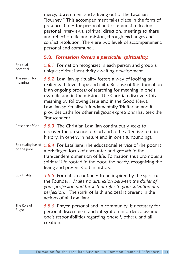mercy, discernment and a living out of the Lasallian "journey." This accompaniment takes place in the form of presence, times for personal and communal reflection, personal interviews, spiritual direction, meetings to share and reflect on life and mission, through exchanges and conflict resolution. There are two levels of accompaniment: personal and communal.

#### **5.8. Formation fosters a particular spirituality.**

| Spiritual<br>potential            | 5.8.1 Formation recognizes in each person and group a<br>unique spiritual sensitivity awaiting development.                                                                                                                                                                                                                                                                                                                                          |
|-----------------------------------|------------------------------------------------------------------------------------------------------------------------------------------------------------------------------------------------------------------------------------------------------------------------------------------------------------------------------------------------------------------------------------------------------------------------------------------------------|
| The search for<br>meaning         | 5.8.2 Lasallian spirituality fosters a way of looking at<br>reality with love, hope and faith. Because of this, formation<br>is an ongoing process of searching for meaning in one's<br>own life and in the mission. The Christian discovers this<br>meaning by following Jesus and in the Good News.<br>Lasallian spirituality is fundamentally Trinitarian and it<br>provides paths for other religious expressions that seek the<br>Transcendent. |
| Presence of God                   | 5.8.3 The Christian Lasallian continuously seeks to<br>discover the presence of God and to be attentive to it in<br>history, in others, in nature and in one's surroundings.                                                                                                                                                                                                                                                                         |
| Spirituality based<br>on the poor | 5.8.4 For Lasallians, the educational service of the poor is<br>a privileged locus of encounter and growth in the<br>transcendent dimension of life. Formation thus promotes a<br>spiritual life rooted in the poor, the needy, recognizing the<br>living and present God in history.                                                                                                                                                                |
| Spirituality                      | 5.8.5 Formation continues to be inspired by the spirit of<br>the Founder: "Make no distinction between the duties of<br>your profession and those that refer to your salvation and<br>perfection." The spirit of faith and zeal is present in the<br>actions of all Lasallians.                                                                                                                                                                      |
| The Role of<br>Prayer             | 5.8.6 Prayer, personal and in community, is necessary for<br>personal discernment and integration in order to assume<br>one's responsibilities regarding oneself, others, and all<br>creation.                                                                                                                                                                                                                                                       |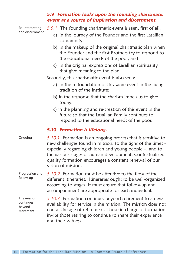#### **5.9 Formation looks upon the founding charismatic event as a source of inspiration and discernment.**

| Re-interpreting<br>and discernment               | 5.9.1 The founding charismatic event is seen, first of all:<br>a) in the journey of the Founder and the first Lasallian<br>community;                                                                                                                                                                                              |
|--------------------------------------------------|------------------------------------------------------------------------------------------------------------------------------------------------------------------------------------------------------------------------------------------------------------------------------------------------------------------------------------|
|                                                  | b) in the makeup of the original charismatic plan when<br>the Founder and the first Brothers try to respond to<br>the educational needs of the poor, and                                                                                                                                                                           |
|                                                  | c) in the original expressions of Lasallian spirituality<br>that give meaning to the plan.                                                                                                                                                                                                                                         |
|                                                  | Secondly, this charismatic event is also seen:                                                                                                                                                                                                                                                                                     |
|                                                  | a) in the re-foundation of this same event in the living<br>tradition of the Institute:                                                                                                                                                                                                                                            |
|                                                  | b) in the response that the charism impels us to give<br>today;                                                                                                                                                                                                                                                                    |
|                                                  | c) in the planning and re-creation of this event in the<br>future so that the Lasallian Family continues to<br>respond to the educational needs of the poor.                                                                                                                                                                       |
|                                                  | 5.10 Formation is lifelong.                                                                                                                                                                                                                                                                                                        |
| Ongoing                                          | 5.10.1 Formation is an ongoing process that is sensitive to<br>new challenges found in mission, to the signs of the times -<br>especially regarding children and young people -, and to<br>the various stages of human development. Contextualized<br>quality formation encourages a constant renewal of our<br>vision of mission. |
| Progression and<br>follow-up                     | 5.10.2 Formation must be attentive to the flow of the<br>different itineraries. Itineraries ought to be well-organized<br>according to stages. It must ensure that follow-up and<br>accompaniment are appropriate for each individual.                                                                                             |
| The mission<br>continues<br>beyond<br>retirement | 5.10.3 Formation continues beyond retirement to a new<br>availability for service in the mission. The mission does not<br>end at the age of retirement. Those in charge of formation<br>invite those retiring to continue to share their experience<br>and their witness.                                                          |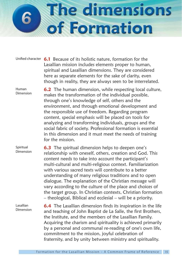# The dimensions of Formation

Unified character **6.1** Because of its holistic nature, formation for the Lasallian mission includes elements proper to human, spiritual and Lasallian dimensions. They are considered here as separate elements for the sake of clarity, even though in reality, they are always seen to be interrelated.

**6.2** The human dimension, while respecting local culture, makes the transformation of the individual possible, through one's knowledge of self, others and the environment, and through emotional development and the responsible use of freedom. Regarding program content, special emphasis will be placed on tools for analyzing and transforming individuals, groups and the social fabric of society. Professional formation is essential in this dimension and it must meet the needs of training for the mission. Dimension

**6.3** The spiritual dimension helps to deepen one's relationship with oneself, others, creation and God. This content needs to take into account the participant's multi-cultural and multi-religious context. Familiarization with various sacred texts will contribute to a better understanding of many religious traditions and to open dialogue. The explanation of the Christian message will vary according to the culture of the place and choices of the target group. In Christian contexts, Christian formation – theological, Biblical and ecclesial – will be a priority. Spiritual Dimension

Lasallian Dimension

Human

**6.4** The Lasallian dimension finds its inspiration in the life and teaching of John Baptist de La Salle, the first Brothers, the Institute, and the members of the Lasallian Family. Acquiring the charism and spirituality is achieved primarily by a personal and communal re-reading of one's own life, commitment to the mission, joyful celebration of fraternity, and by unity between ministry and spirituality.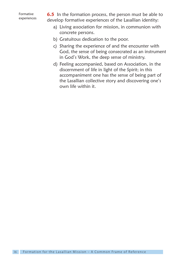

**6.5** In the formation process, the person must be able to develop formative experiences of the Lasallian identity:

- a) Living association for mission, in communion with concrete persons.
- b) Gratuitous dedication to the poor.
- c) Sharing the experience of and the encounter with God, the sense of being consecrated as an instrument in God's Work, the deep sense of ministry.
- d) Feeling accompanied, based on Association, in the discernment of life in light of the Spirit; in this accompaniment one has the sense of being part of the Lasallian collective story and discovering one's own life within it.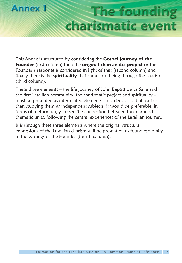

### **The founding** charismatic event

This Annex is structured by considering the **Gospel journey of the Founder** (first column) then the **original charismatic project** or the Founder's response is considered in light of that (second column) and finally there is the **spirituality** that came into being through the charism (third column).

These three elements – the life journey of John Baptist de La Salle and the first Lasallian community, the charismatic project and spirituality – must be presented as interrelated elements. In order to do that, rather than studying them as independent subjects, it would be preferable, in terms of methodology, to see the connection between them around thematic units, following the central experiences of the Lasallian journey.

It is through these three elements where the original structural expressions of the Lasallian charism will be presented, as found especially in the writings of the Founder (fourth column).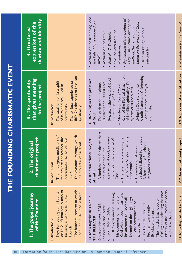| 1. The gospel journey<br>of the Founder                                                                                                                                                                                                                                                                                                                                                                                                                                                                                               | charimatic project<br>2. The original                                                                                                                                                                                                                                                                                                                                     | that gives meaning<br>3. The spirituality<br>to the project                                                                                                                                                                                                                                                                                                                                                   | charism and identity<br>expressions of the<br>4. Structured                                                                                                                                                                                                                                                                                           |
|---------------------------------------------------------------------------------------------------------------------------------------------------------------------------------------------------------------------------------------------------------------------------------------------------------------------------------------------------------------------------------------------------------------------------------------------------------------------------------------------------------------------------------------|---------------------------------------------------------------------------------------------------------------------------------------------------------------------------------------------------------------------------------------------------------------------------------------------------------------------------------------------------------------------------|---------------------------------------------------------------------------------------------------------------------------------------------------------------------------------------------------------------------------------------------------------------------------------------------------------------------------------------------------------------------------------------------------------------|-------------------------------------------------------------------------------------------------------------------------------------------------------------------------------------------------------------------------------------------------------------------------------------------------------------------------------------------------------|
| de La Salle's journey. A man of<br>The historical context in which<br>Keys for reading John Baptist<br>John Baptist de La Salle lived.<br>his time, a man of faith, the<br>Introduction:<br>Founder.                                                                                                                                                                                                                                                                                                                                  | The three great mediators of<br>The dynamics through which<br>the project: the teacher, the<br>community, the educational<br>the project is carried out.<br>Introduction:<br>work.                                                                                                                                                                                        | JBDLS as the basis of Lasallian<br>The spiritual experience of<br>The Lasallian spirit: a spirit<br>of faith and zeal lived in<br>Introducción:<br>community.<br>spirituality.                                                                                                                                                                                                                                |                                                                                                                                                                                                                                                                                                                                                       |
| identity of the Brother in society<br>Seeking and defending the new<br>JBDLS' experience of seeking,<br>God with an open heart and<br>I.1 John Baptist de La Salle,<br>his openness to the signs of<br>The first charismatic options.<br>his attention to God's will.<br>Memoir on the beginnings:<br>one commitment led<br>The Founder's and the<br>Salvation history: JBDLS,<br>Brothers' community<br>the believer and seeker<br>of God (1651 – 1689).<br>Exodus experience.<br>and in the Church.<br>THE BELIEVER<br>to another." | A fundamental for the teacher:<br>experience of God, in prayer,<br>a school tailored to the poor.<br>sign of the Kingdom among<br>The Lasallian community: a<br>the retreat, the presence of<br>2.1 An educational project<br>A free and useful school,<br>The educational work:<br>integrated education.<br>the interior man, the<br>poor youth.<br>of Faith<br>ل<br>Sod | A radical attitude. Celebrating<br>Keys of the Biblical dimension<br>3.1 Walking in the presence<br>Two axes: the Word of God<br>Its effects and its fruit (zeal).<br>of Lasallian spirituality. The<br>The spirit of this Institute.<br>Ministers of God's Word.<br>Living in God's presence.<br>God's presence in prayer<br>dynamics of the Word.<br>and the sense of faith.<br>and in life.<br>of God<br>Ï | • Memoir on the Beginnings and<br>Prayer: the central axes of the<br>Explanation of the Method of<br>the Rules I have imposed on<br>based on the Word of God.<br>method, the sense of faith<br>Rule of 1718: Chapter 1.<br>The Conduct of Schools:<br>Selected texts from the<br>• Memoir on the Habit.<br>selected texts.<br>Meditations.<br>myself. |
| 1.1 John Baptist de La Salle,                                                                                                                                                                                                                                                                                                                                                                                                                                                                                                         | 2.2 An educational project                                                                                                                                                                                                                                                                                                                                                | 3.2 A process of identification                                                                                                                                                                                                                                                                                                                                                                               | • Meditations for the Time of                                                                                                                                                                                                                                                                                                                         |

THE FOUNDING CHARISMATIC EVENT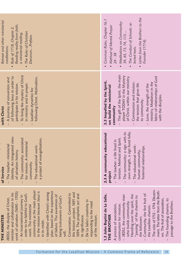| Retreat and other ministerial | Reading reality from faith,<br>Rule of 1718, Chapter 2.<br>The Rules of Christian<br>a ministerial reading.<br>DecorumPreface.<br>meditations.<br>$\bullet$                                                                                                                                                                                                                                                                                                                                                                                                                                                                                                                                      | • Letter from the Brothers to the<br>Common Rules, Chapter 16.1<br>• Meditations on Community:<br>• The Conduct of Schools: se-<br>• Method of Mental Prayer<br>39, 65, 73, 74, 113<br>Founder (1714)<br>lected texts.<br>$24 - 38$                                                                                                                                                                                                                                                                                  |
|-------------------------------|--------------------------------------------------------------------------------------------------------------------------------------------------------------------------------------------------------------------------------------------------------------------------------------------------------------------------------------------------------------------------------------------------------------------------------------------------------------------------------------------------------------------------------------------------------------------------------------------------------------------------------------------------------------------------------------------------|----------------------------------------------------------------------------------------------------------------------------------------------------------------------------------------------------------------------------------------------------------------------------------------------------------------------------------------------------------------------------------------------------------------------------------------------------------------------------------------------------------------------|
| with Christ                   | To living the mystery of Christ<br>of following Jesus in order to<br>following Christ. Motivation.<br>- A journey of conversion and<br>participate in his mission.<br>in ministry and in prayer.<br>Lasallian dynamics for                                                                                                                                                                                                                                                                                                                                                                                                                                                                       | The gift of the Spirit, the main<br>player TODAY in the Mystery<br>of Christ, within our ministry.<br>fabric of relationships of God<br>3.3 Impelled by the Spirit,<br>ministry. Mediators in the<br>Communion and mission:<br>the tension that gives life<br>Love, the strength of the<br>we build the ministerial<br>with the disciples.<br>to community.<br>community<br>$\mathsf{I}$                                                                                                                             |
| of Service                    | identity. An integrated view<br>The community: associated<br>a project of evangelization.<br>for mission. A ministerial<br>The teacher: ministerial<br>The educational work:<br>of salvation history.<br>community.                                                                                                                                                                                                                                                                                                                                                                                                                                                                              | own strength, a sign lived fully.<br>The community: a sign with its<br>2.3 A community educational<br>tension. Method and Spirit.<br>- The teacher: a life lived in<br>The educational work:<br>fratemal relationships.<br>human community,<br>project<br>$\overline{\phantom{a}}$                                                                                                                                                                                                                                   |
| THE MINISTER                  | community as the main player<br>in the mission because Jesus is<br>plan, based on the experience<br>nrist's saving<br>$690 - 1705$<br>this historic project. 1691 and<br>minister and collaborator in his<br>Consecration. Committed to<br>order to be faithful to God's<br>1694. The prophetic act and<br>of failure. The awareness of<br>ourney in<br>of God's<br><b>JBDLS</b> , the disciple of Christ,<br>ivity in<br>need<br>work. The ministerial<br>being instruments<br>responding to the<br>work of salvation (1<br>De La Salle's creat<br>An incarnational<br>Identified with Ch<br>its significance.<br>of the mission.<br>in its midst.<br>$\overline{\mathsf{v}}$<br>$\overline{1}$ | 1714. Discern-<br>ment. The letter from the Broth-<br>Community, the first fruit of<br>Handing over the spirit, the<br>"passing" of the charism to<br>the followers.<br>e La Salle,<br>- JBDLS, the community man<br>ers. The fruit of association.<br>The founding charism, its<br>who builds community.<br>passage to the Brothers.<br>communion for mission.<br>A process of association,<br>ism.<br>1.3 John Baptist d<br>the Lasallian chari<br>The crisis of 1712 -<br>THE BROTHER<br>$\overline{\phantom{a}}$ |
|                               |                                                                                                                                                                                                                                                                                                                                                                                                                                                                                                                                                                                                                                                                                                  |                                                                                                                                                                                                                                                                                                                                                                                                                                                                                                                      |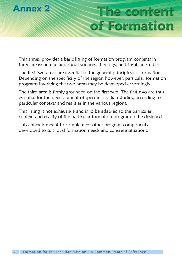

## The content of Formation

This annex provides a basic listing of formation program contents in three areas: human and social sciences, theology, and Lasallian studies.

The first two areas are essential to the general principles for formation. Depending on the specificity of the region however, particular formation programs involving the two areas may be developed accordingly.

The third area is firmly grounded on the first two. The first two are thus essential for the development of specific Lasallian studies, according to particular contexts and realities in the various regions.

This listing is not exhaustive and is to be adapted to the particular context and reality of the particular formation program to be designed.

This annex is meant to complement other program components developed to suit local formation needs and concrete situations.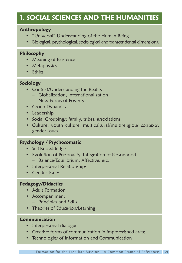#### **1. SOCIAL SCIENCES AND THE HUMANITIES**

#### **Anthropology**

- "Universal" Understanding of the Human Being
- Biological, psychological, sociological and transcendental dimensions.

#### **Philosophy**

- Meaning of Existence
- Metaphysics
- Ethics

#### **Sociology**

- Context/Understanding the Reality
	- Globalization, Internationalization
	- New Forms of Poverty
- Group Dynamics
- Leadership
- Social Groupings: family, tribes, associations
- Culture: youth culture, multicultural/multireligious contexts, gender issues

#### **Psychology / Psychosomatic**

- Self-Knowldedge
- Evolution of Personality, Integration of Personhood
	- Balance/Equilibrium: Affective, etc.
- Interpersonal Relationships
- Gender Issues

#### **Pedagogy/Didactics**

- Adult Formation
- Accompaniment
	- Principles and Skills
- Theories of Education/Learning

#### **Communication**

- Interpersonal dialogue
- Creative forms of communication in impoverished areas
- Technologies of Information and Communication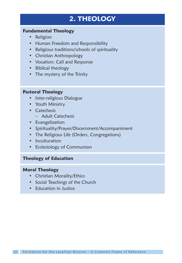#### **2. THEOLOGY**

#### **Fundamental Theology**

- Religion
- Human Freedom and Responsibility
- Religious traditions/schools of spirituality
- Christian Anthropology
- Vocation: Call and Response
- Biblical theology
- The mystery of the Trinity

#### **Pastoral Theology**

- Inter-religious Dialogue
- Youth Ministry
- Catechesis
	- Adult Catechesis
- Evangelization
- Spirituality/Prayer/Discernment/Accompaniment
- The Religious Life (Orders, Congregations)
- Inculturation
- Ecclesiology of Communion

#### **Theology of Education**

#### **Moral Theology**

- Christian Morality/Ethics
- Social Teachings of the Church
- Education in Justice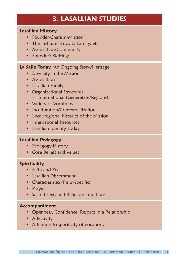#### **3. LASALLIAN STUDIES**

#### **Lasallian History**

- Founder-Charism-Mission
- The Institute: Bros, LS Family, etc.
- Association/Community
- Founder's Writings

#### **La Salle Today** An Ongoing Story/Heritage

- Diversity in the Mission
- Association
- Lasallian Family
- Organizational Structures – International (Generalate/Regions)
- Variety of Vocations
- Inculturation/Contextualization
- Local/regional histories of the Mission
- International Resources
- Lasallian Identity Today

#### **Lasallian Pedagogy**

- Pedagogy-History
- Core Beliefs and Values

#### **Spirituality**

- Faith and Zeal
- Lasallian Discernment
- Characteristics/Traits/Specifics
- Prayer
- Sacred Texts and Religious Traditions

#### **Accompaniment**

- Openness, Confidence, Respect in a Relationship
- Affectivity
- Attention to specificity of vocations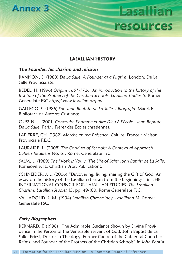

#### **LASALLIAN HISTORY**

Lasallian

resources

#### **The Founder, his charism and mission**

BANNON, E. (1988) *De La Salle. A Founder as a Pilgrim*. London: De La Salle Provincialate.

BÉDEL, H. (1996) *Origins 1651-1726, An introduction to the history of the Institute of the Brothers of the Christian Schools*. *Lasallian Studies* 5. Rome: Generalate FSC *http://www.lasallian.org.au*

GALLEGO, S. (1986) *San Juan Bautista de La Salle, I Biografía*. Madrid: Biblioteca de Autores Cristianos.

OUSSIN, J. (2001) *Construire l'homme et dire Dieu à l'école : Jean-Baptiste De La Salle*. Paris : Frères des Écoles chrétiennes.

LAPIERRE, CH. (1982) *Marche en ma Présence*. Caluire, France : Maison Provinciale F.E.C.

LAURAIRE, L. (2008) *The Conduct of Schools: A Contextual Approach*. *Cahiers lasalliens* No. 61. Rome: Generalate FSC.

SALM, L. (1989) *The Work Is Yours: The Life of Saint John Baptist de La Salle*. Romeoville, IL: Christian Bros. Publications.

SCHNEIDER, J. L. (2006) "Discovering, living, sharing the Gift of God. An essay on the history of the Lasallian charism from the beginnings", in THE INTERNATIONAL COUNCIL FOR LASALLIAN STUDIES. *The Lasallian Charism*. *Lasallian Studies* 13, pp. 49-180. Rome Generalate FSC.

VALLADOLID, J. M. (1994) *Lasallian Chronology*. *Lasalliana* 31. Rome: Generalate FSC.

#### **Early Biographers**

BERNARD, F. (1996) "The Admirable Guidance Shown by Divine Providence in the Person of the Venerable Servant of God, John Baptist de La Salle, Priest, Doctor in Theology, Former Canon of the Cathedral Church of Reims, and Founder of the Brothers of the Christian Schools" in *John Baptist*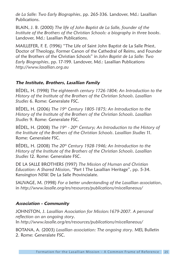*de La Salle: Two Early Biographies*, pp. 265-336. Landover, Md.: Lasallian Publications.

BLAIN, J. B. (2000) *The life of John Baptist de La Salle, founder of the Institute of the Brothers of the Christian Schools: a biography in three books*. Landover, Md.: Lasallian Publications.

MAILLEFER, F. E. (1996) "The Life of Saint John Baptist de La Salle Priest, Doctor of Theology, Former Canon of the Cathedral of Reims, and Founder of the Brothers of the Christian Schools" in *John Baptist de La Salle: Two Early Biographies*, pp. 17-199. Landover, Md.: Lasallian Publications *http://www.lasallian.org.au*

#### **The Institute, Brothers, Lasallian Family**

BÉDEL, H. (1998) *The eighteenth century 1726-1804; An Introduction to the History of the Institute of the Brothers of the Christian Schools*. *Lasallian Studies* 6. Rome: Generalate FSC.

BÉDEL, H. (2006) *The 19th Century 1805-1875; An Introduction to the History of the Institute of the Brothers of the Christian Schools*. *Lasallian Studies* 9. Rome: Generalate FSC.

BÉDEL, H. (2008) *The 19th - 20th Century; An Introduction to the History of the Institute of the Brothers of the Christian Schools*. *Lasallian Studies* 11. Rome: Generalate FSC.

BÉDEL, H. (2008) *The 20th Century 1928-1946; An Introduction to the History of the Institute of the Brothers of the Christian Schools*. *Lasallian Studies* 12. Rome: Generalate FSC.

DE LA SALLE BROTHERS (1997) *The Mission of Human and Christian Education: A Shared Mission, "*Part I The Lasallian Heritage", pp. 5-34. Kensington NSW. De La Salle Provincialate.

SAUVAGE, M. (1998) *For a better understanding of the Lasallian association*, in *http://www.lasalle.org/en/resources/publications/miscellaneous/*

#### **Association - Community**

JOHNSTON, J. *Lasallian Association for Mission:1679-2007. A personal reflection on an ongoing story*. In *http://www.lasalle.org/en/resources/publications/miscellaneous/*

BOTANA, A. (2003) *Lasallian association: The ongoing story*. MEL Bulletin 2. Rome: Generalate FSC.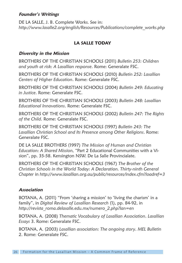#### **Founder's Writings**

DE LA SALLE, J. B. Complete Works. See in: *http://www.lasalle2.org/english/Resources/Publications/complete\_works.php*

#### **LA SALLE TODAY**

#### **Diversity in the Mission**

BROTHERS OF THE CHRISTIAN SCHOOLS (2011) *Bulletin 253: Children and youth at risk: A Lasallian response*. Rome: Generalate FSC.

BROTHERS OF THE CHRISTIAN SCHOOLS (2010) *Bulletin 252: Lasallian Centers of Higher Education*. Rome: Generalate FSC.

BROTHERS OF THE CHRISTIAN SCHOOLS (2004) *Bulletin 249: Educating in Justice*. Rome: Generalate FSC.

BROTHERS OF THE CHRISTIAN SCHOOLS (2003) *Bulletin 248: Lasallian Educational Innovations*. Rome: Generalate FSC.

BROTHERS OF THE CHRISTIAN SCHOOLS (2002) *Bulletin 247: The Rights of the Child*. Rome: Generalate FSC.

BROTHERS OF THE CHRISTIAN SCHOOLS (1997) *Bulletin 243: The Lasallian Christian School and Its Presence among Other Religions*. Rome: Generalate FSC.

DE LA SALLE BROTHERS (1997) *The Mission of Human and Christian Education: A Shared Mission, "*Part 2 Educational Communities with a Vision", pp. 35-58. Kensington NSW. De La Salle Provincialate.

BROTHERS OF THE CHRISTIAN SCHOOLS (1967) *The Brother of the Christian Schools in the World Today: A Declaration. Thirty-ninth General Chapter* in *http://www.lasallian.org.au/public/resources/index.cfm?loadref=3*

#### **Association**

BOTANA, A. (2011) "From 'sharing a mission' to 'living the charism' in a family", in *Digital Review of Lasallian Research* (1), pp. 84-92, in *http://revista\_roma.delasalle.edu.mx/numero\_2.php?lan=en*

BOTANA, A. (2008) *Thematic Vocabulary of Lasallian Association*. *Lasallian Essays* 3. Rome: Generalate FSC.

BOTANA, A. (2003) *Lasallian association: The ongoing story*. *MEL Bulletin* 2. Rome: Generalate FSC.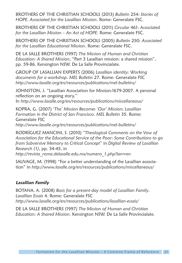BROTHERS OF THE CHRISTIAN SCHOOLS (2013) *Bulletin* 254: *Stories of HOPE. Associated for the Lasallian Mission*. Rome: Generalate FSC.

BROTHERS OF THE CHRISTIAN SCHOOLS (2011) *Circular* 461: *Associated for the Lasallian Mission – An Act of HOPE*. Rome: Generalate FSC.

BROTHERS OF THE CHRISTIAN SCHOOLS (2005) *Bulletin* 250: *Associated for the Lasallian Educational Mission*. Rome: Generalate FSC.

DE LA SALLE BROTHERS (1997) *The Mission of Human and Christian Education: A Shared Mission*, "Part 3 Lasallian mission: a shared mission", pp. 59-86. Kensington NSW. De La Salle Provincialate.

GROUP OF LASALLIAN EXPERTS (2006) *Lasallian identity; Working documents for a workshop*. *MEL Bulletin* 27. Rome: Generalate FSC *http://www.lasalle.org/en/resources/publications/mel-bulletins/*

JOHNSTON, J. "Lasallian Association for Mission:1679-2007. A personal reflection on an ongoing story." In *http://www.lasalle.org/en/resources/publications/miscellaneous/*

KOPRA, G. (2007) *'The' Mission Becomes 'Our' Mission; Lasallian Formation in the District of San Francisco*. *MEL Bulletin* 35. Rome: Generalate FSC *http://www.lasalle.org/en/resources/publications/mel-bulletins/*

RODRÍGUEZ MANCINI, S. (2010) *"Theological Comments on the Vow of* 

*Association for the Educational Service of the Poor: Some Contributions to go from Subversive Memory to Critical Concept*" in *Digital Review of Lasallian Research (1)*, pp. 34-45, in

*http://revista\_roma.delasalle.edu.mx/numero\_1.php?lan=en*

SAUVAGE, M. (1998) "For a better understanding of the Lasallian association" in *http://www.lasalle.org/en/resources/publications/miscellaneous/*

#### **Lasallian Family**

BOTANA, A. (2008) *Basis for a present-day model of Lasallian Family*. *Lasallian Essais* 4. Rome: Generalate FSC *http://www.lasalle.org/en/resources/publications/lasallian-essais/*

DE LA SALLE BROTHERS (1997) *The Mission of Human and Christian Education: A Shared Mission*. Kensington NSW. De La Salle Provincialate.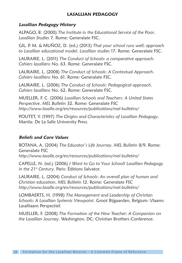#### **LASALLIAN PEDAGOGY**

#### **Lasallian Pedagogy History**

ALPAGO, B. (2000) *The Institute in the Educational Service of the Poor*. *Lasallian Studies* 7. Rome: Generalate FSC.

GIL. P. M. & MUÑOZ, D. (ed.) (2013) *That your school runs well; approach to Lasallian educational model*. *Lasallian studies* 17. Rome: Generalate FSC.

LAURAIRE, L. (2011) *The Conduct of Schools: a comparative approach*. *Cahiers lasalliens* No. 63. Rome: Generalate FSC.

LAURAIRE, L. (2008) *The Conduct of Schools: A Contextual Approach*. *Cahiers lasalliens* No. 61. Rome: Generalate FSC.

LAURAIRE, L. (2006) *The Conduct of Schools: Pedagogical approach*. *Cahiers lasalliens* No. 62. Rome: Generalate FSC.

MUELLER, F. C. (2006) *Lasallian Schools and Teachers: A United States Perspective*. *MEL Bulletin* 32. Rome: Generalate FSC *http://www.lasalle.org/en/resources/publications/mel-bulletins/*

POUTET, Y. (1997) *The Origins and Characteristics of Lasallian Pedagogy*. Manila: De La Salle University Press.

#### **Beliefs and Core Values**

BOTANA, A. (2004) *The Educator's Life Journey*. *MEL Bulletin* 8/9. Rome: Generalate FSC *http://www.lasalle.org/en/resources/publications/mel-bulletins/*

CAPELLE, N. (ed.) (2006) *I Want to Go to Your School! Lasallian Pedagogy in the 21st Century*. Paris: Éditions Salvator.

LAURAIRE, L. (2004) *Conduct of Schools*: *An overall plan of human and Christian education*. *MEL Bulletin* 12. Rome: Generalate FSC *http://www.lasalle.org/en/resources/publications/mel-bulletins/*

LOMBAERTS, H. (1998) *The Management and Leadership of Christian Schools: A Lasallian Systemic Viewpoint*. Groot Bijgaarden, Belgium: Vlaams Lasalliaans Perspectief.

MUELLER, F. (2008) *The Formation of the New Teacher: A Companion on the Lasallian Journey*. Washington, DC: Christian Brothers Conference.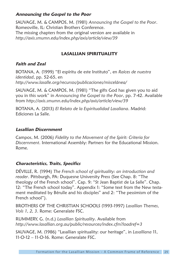#### **Announcing the Gospel to the Poor**

SAUVAGE, M. & CAMPOS, M. (1981) *Announcing the Gospel to the Poor*. Romeoville, IL: Christian Brothers Conference. The missing chapters from the original version are available in *http://axis.smumn.edu/index.php/axis/article/view/39*

#### **LASALLIAN SPIRITUALITY**

#### **Faith and Zeal**

BOTANA, A. (1999) "El espíritu de este Instituto", en *Raíces de nuestra identidad*, pp. 52-65, en *http://www.lasalle.org/recursos/publicaciones/miscelánea/*

SAUVAGE, M. & CAMPOS, M. (1981) "The gifts God has given you to aid you in this work" in *Announcing the Gospel to the Poor*, pp. 7-42. Available from *http://axis.smumn.edu/index.php/axis/article/view/39*

BOTANA, A. (2013) *El Relato de la Espiritualidad Lasaliana*. Madrid: Ediciones La Salle.

#### **Lasallian Discernment**

Campos, M. (2006) *Fidelity to the Movement of the Spirit: Criteria for Discernment*. International Assembly: Partners for the Educational Mission. Rome.

#### **Characteristics, Traits, Specifics**

DÉVILLE, R. (1994) *The French school of spirituality: an introduction and reader*. Pittsburgh, PA: Duquesne University Press (See Chap. 8: "The theology of the French school". Cap. 9: "St Jean Baptist de La Salle". Chap. 12: "The French school today". Appendix 1: "Some text from the New testament meditated by Bérulle and his disciples" and 2: "The pessimism of the French school").

BROTHERS OF THE CHRISTIAN SCHOOLS (1993-1997) *Lasallian Themes, Vols 1, 2, 3*. Rome: Generalate FSC.

RUMMERY, G. (n.d.) *Lasallian Spirituality*. Available from *http://www.lasallian.org.au/public/resources/index.cfm?loadref=3*

SAUVAGE, M. (1986) "Lasallian spirituality: our heritage", in *Lasalliana* 11, 11-O-12 – 11-O-16. Rome: Generalate FSC.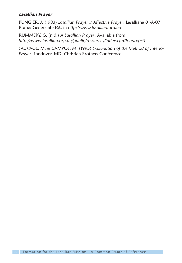#### **Lasallian Prayer**

PUNGIER, J. (1983) *Lasallian Prayer is Affective Prayer*. Lasalliana 01-A-07. Rome: Generalate FSC in *http://www.lasallian.org.au*

RUMMERY, G. (n.d.) *A Lasallian Prayer*. Available from *http://www.lasallian.org.au/public/resources/index.cfm?loadref=3*

SAUVAGE, M. & CAMPOS, M. (1995) *Explanation of the Method of Interior Prayer*. Landover, MD: Christian Brothers Conference.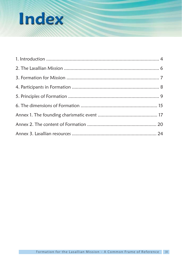## **Index**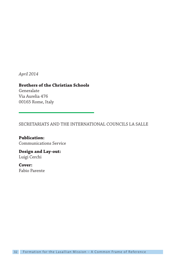*April 2014*

 $0.165$  Rome It 00165 Rome, Italy

**Brothers of the Christian Schools** Via Aurelia 476

SECRETARIATS AND THE INTERNATIONAL COUNCILS LA SALLE

**Publication:**

**Design and Lay-out:** Luigi Cerchi

**Cover:**